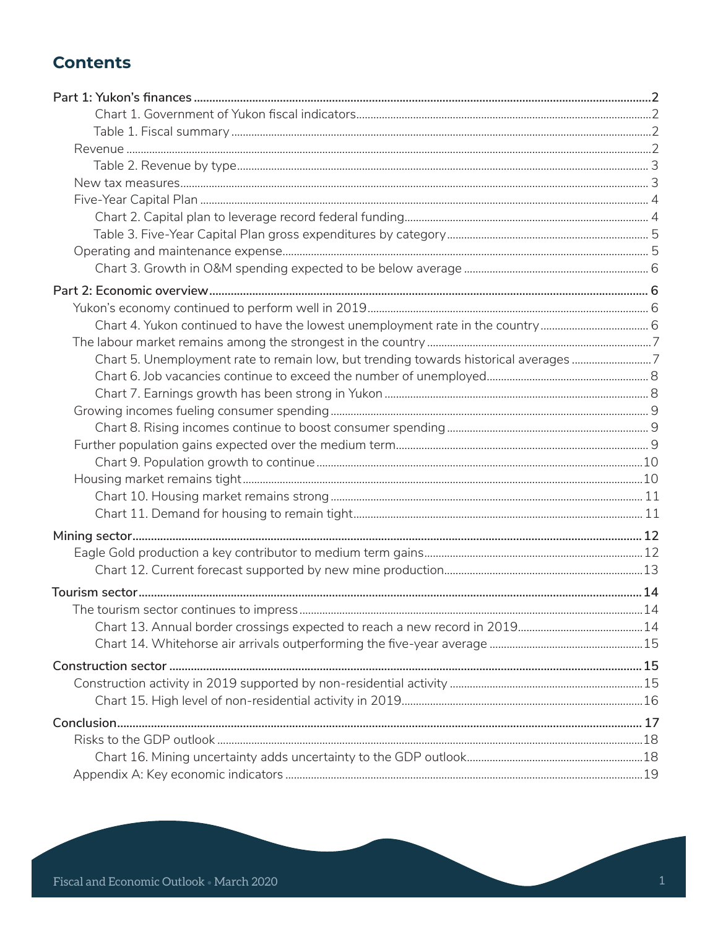# **Contents**

| Chart 5. Unemployment rate to remain low, but trending towards historical averages 7 |  |
|--------------------------------------------------------------------------------------|--|
|                                                                                      |  |
|                                                                                      |  |
|                                                                                      |  |
|                                                                                      |  |
|                                                                                      |  |
|                                                                                      |  |
|                                                                                      |  |
|                                                                                      |  |
|                                                                                      |  |
|                                                                                      |  |
|                                                                                      |  |
|                                                                                      |  |
|                                                                                      |  |
|                                                                                      |  |
|                                                                                      |  |
|                                                                                      |  |
|                                                                                      |  |
|                                                                                      |  |
|                                                                                      |  |
|                                                                                      |  |
|                                                                                      |  |
|                                                                                      |  |
|                                                                                      |  |
|                                                                                      |  |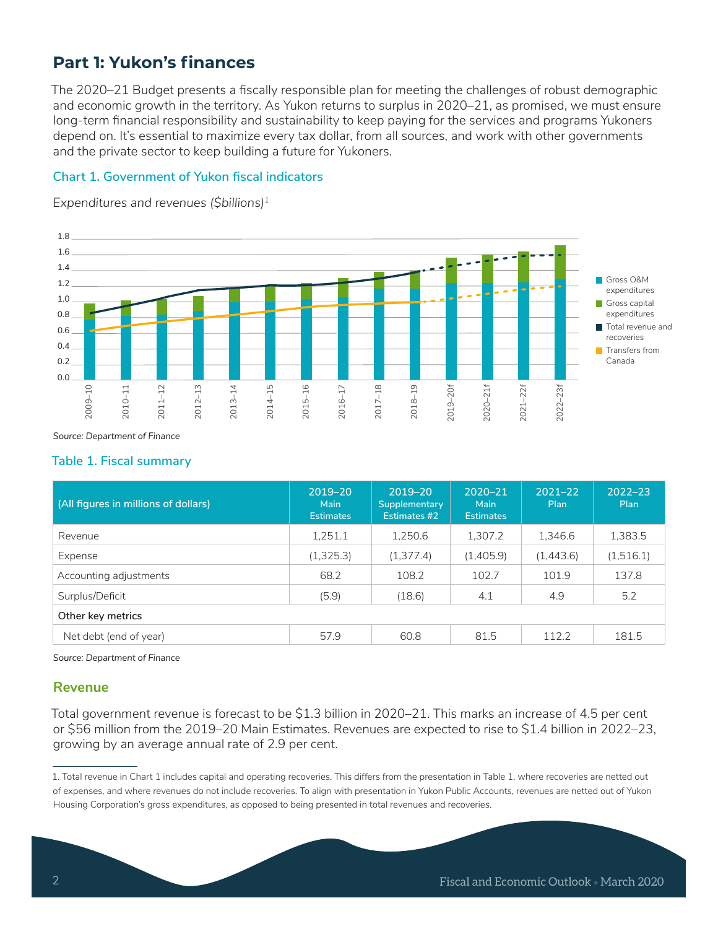# **Part 1: Yukon's finances**

The 2020–21 Budget presents a fiscally responsible plan for meeting the challenges of robust demographic and economic growth in the territory. As Yukon returns to surplus in 2020–21, as promised, we must ensure long-term financial responsibility and sustainability to keep paying for the services and programs Yukoners depend on. It's essential to maximize every tax dollar, from all sources, and work with other governments and the private sector to keep building a future for Yukoners.

### **Chart 1. Government of Yukon fiscal indicators**

*Expenditures and revenues (\$billions)1*



*Source: Department of Finance*

#### **Table 1. Fiscal summary**

| (All figures in millions of dollars) | 2019-20<br>Main<br><b>Estimates</b> | 2019-20<br>Supplementary<br>Estimates #2 | 2020-21<br>Main<br><b>Estimates</b> | $2021 - 22$<br>Plan | $2022 - 23$<br>Plan |  |  |  |
|--------------------------------------|-------------------------------------|------------------------------------------|-------------------------------------|---------------------|---------------------|--|--|--|
| Revenue                              | 1,251.1                             | 1.250.6                                  | 1,307.2                             | 1.346.6             | 1,383.5             |  |  |  |
| Expense                              | (1,325.3)                           | (1, 377.4)                               | (1,405.9)                           | (1,443.6)           | (1,516.1)           |  |  |  |
| Accounting adjustments               | 68.2                                | 108.2                                    | 102.7                               | 101.9               | 137.8               |  |  |  |
| Surplus/Deficit                      | (5.9)                               | (18.6)                                   | 4.1                                 | 4.9                 | 5.2                 |  |  |  |
| Other key metrics                    |                                     |                                          |                                     |                     |                     |  |  |  |
| Net debt (end of year)               | 57.9                                | 60.8                                     | 81.5                                | 112.2               | 181.5               |  |  |  |

*Source: Department of Finance*

### **Revenue**

Total government revenue is forecast to be \$1.3 billion in 2020–21. This marks an increase of 4.5 per cent or \$56 million from the 2019–20 Main Estimates. Revenues are expected to rise to \$1.4 billion in 2022–23, growing by an average annual rate of 2.9 per cent.

<sup>1.</sup> Total revenue in Chart 1 includes capital and operating recoveries. This differs from the presentation in Table 1, where recoveries are netted out of expenses, and where revenues do not include recoveries. To align with presentation in Yukon Public Accounts, revenues are netted out of Yukon Housing Corporation's gross expenditures, as opposed to being presented in total revenues and recoveries.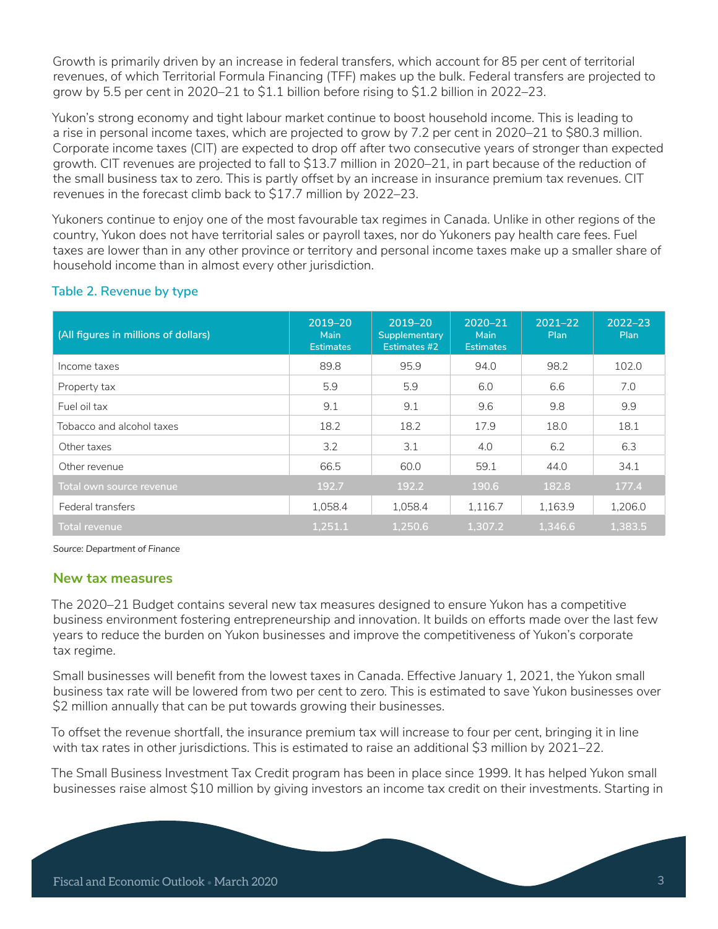Growth is primarily driven by an increase in federal transfers, which account for 85 per cent of territorial revenues, of which Territorial Formula Financing (TFF) makes up the bulk. Federal transfers are projected to grow by 5.5 per cent in 2020–21 to \$1.1 billion before rising to \$1.2 billion in 2022–23.

Yukon's strong economy and tight labour market continue to boost household income. This is leading to a rise in personal income taxes, which are projected to grow by 7.2 per cent in 2020–21 to \$80.3 million. Corporate income taxes (CIT) are expected to drop off after two consecutive years of stronger than expected growth. CIT revenues are projected to fall to \$13.7 million in 2020–21, in part because of the reduction of the small business tax to zero. This is partly offset by an increase in insurance premium tax revenues. CIT revenues in the forecast climb back to \$17.7 million by 2022–23.

Yukoners continue to enjoy one of the most favourable tax regimes in Canada. Unlike in other regions of the country, Yukon does not have territorial sales or payroll taxes, nor do Yukoners pay health care fees. Fuel taxes are lower than in any other province or territory and personal income taxes make up a smaller share of household income than in almost every other jurisdiction.

| (All figures in millions of dollars) | 2019-20<br>Main<br><b>Estimates</b> | 2019-20<br>Supplementary<br>Estimates #2 | 2020-21<br>Main<br><b>Estimates</b> | $2021 - 22$<br>Plan | $2022 - 23$<br>Plan |
|--------------------------------------|-------------------------------------|------------------------------------------|-------------------------------------|---------------------|---------------------|
| Income taxes                         | 89.8                                | 95.9                                     | 94.0                                | 98.2                | 102.0               |
| Property tax                         | 5.9                                 | 5.9                                      | 6.0                                 | 6.6                 | 7.0                 |
| Fuel oil tax                         | 9.1                                 | 9.1                                      | 9.6                                 | 9.8                 | 9.9                 |
| Tobacco and alcohol taxes            | 18.2                                | 18.2                                     | 17.9                                | 18.0                | 18.1                |
| Other taxes                          | 3.2                                 | 3.1                                      | 4.0                                 | 6.2                 | 6.3                 |
| Other revenue                        | 66.5                                | 60.0                                     | 59.1                                | 44.0                | 34.1                |
| Total own source revenue             | 192.7                               | 192.2                                    | 190.6                               | 182.8               | 177.4               |
| Federal transfers                    | 1,058.4                             | 1,058.4                                  | 1.116.7                             | 1,163.9             | 1.206.0             |
| Total revenue                        | 1.251.1                             | 1.250.6                                  | 1.307.2                             | 1.346.6             | 1.383.5             |

# **Table 2. Revenue by type**

*Source: Department of Finance*

#### **New tax measures**

The 2020–21 Budget contains several new tax measures designed to ensure Yukon has a competitive business environment fostering entrepreneurship and innovation. It builds on efforts made over the last few years to reduce the burden on Yukon businesses and improve the competitiveness of Yukon's corporate tax regime.

Small businesses will benefit from the lowest taxes in Canada. Effective January 1, 2021, the Yukon small business tax rate will be lowered from two per cent to zero. This is estimated to save Yukon businesses over \$2 million annually that can be put towards growing their businesses.

To offset the revenue shortfall, the insurance premium tax will increase to four per cent, bringing it in line with tax rates in other jurisdictions. This is estimated to raise an additional \$3 million by 2021–22.

The Small Business Investment Tax Credit program has been in place since 1999. It has helped Yukon small businesses raise almost \$10 million by giving investors an income tax credit on their investments. Starting in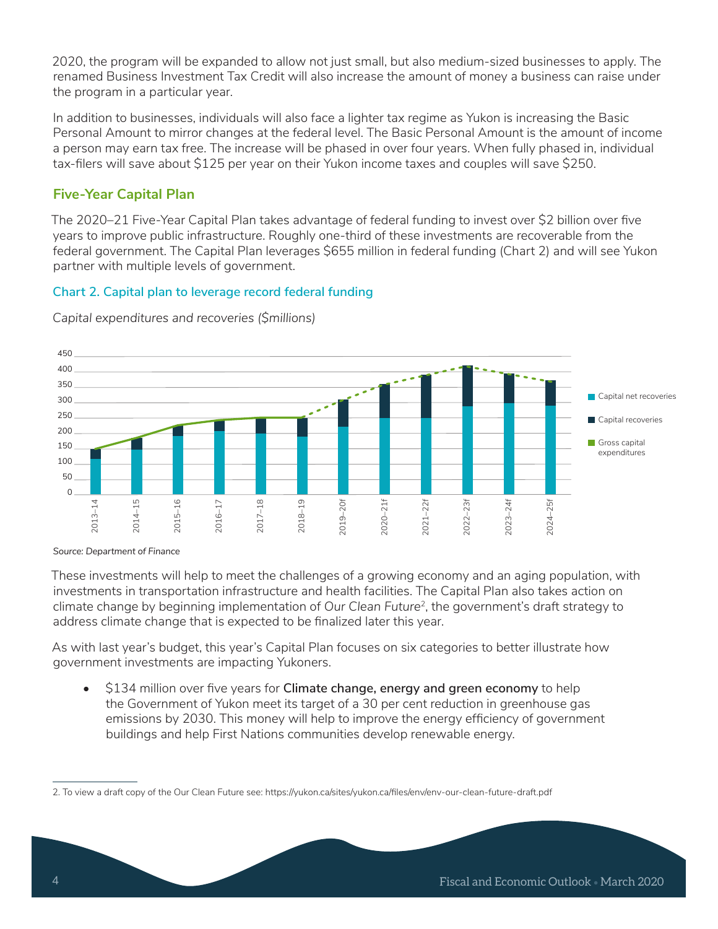2020, the program will be expanded to allow not just small, but also medium-sized businesses to apply. The renamed Business Investment Tax Credit will also increase the amount of money a business can raise under the program in a particular year.

In addition to businesses, individuals will also face a lighter tax regime as Yukon is increasing the Basic Personal Amount to mirror changes at the federal level. The Basic Personal Amount is the amount of income a person may earn tax free. The increase will be phased in over four years. When fully phased in, individual tax-filers will save about \$125 per year on their Yukon income taxes and couples will save \$250.

# **Five-Year Capital Plan**

The 2020–21 Five-Year Capital Plan takes advantage of federal funding to invest over \$2 billion over five years to improve public infrastructure. Roughly one-third of these investments are recoverable from the federal government. The Capital Plan leverages \$655 million in federal funding (Chart 2) and will see Yukon partner with multiple levels of government.

### **Chart 2. Capital plan to leverage record federal funding**



*Capital expenditures and recoveries (\$millions)*

*Source: Department of Finance*

These investments will help to meet the challenges of a growing economy and an aging population, with investments in transportation infrastructure and health facilities. The Capital Plan also takes action on climate change by beginning implementation of *Our Clean Future*<sup>2</sup>, the government's draft strategy to address climate change that is expected to be finalized later this year.

As with last year's budget, this year's Capital Plan focuses on six categories to better illustrate how government investments are impacting Yukoners.

• \$134 million over five years for **Climate change, energy and green economy** to help the Government of Yukon meet its target of a 30 per cent reduction in greenhouse gas emissions by 2030. This money will help to improve the energy efficiency of government buildings and help First Nations communities develop renewable energy.

<sup>2.</sup> To view a draft copy of the Our Clean Future see: https://yukon.ca/sites/yukon.ca/files/env/env-our-clean-future-draft.pdf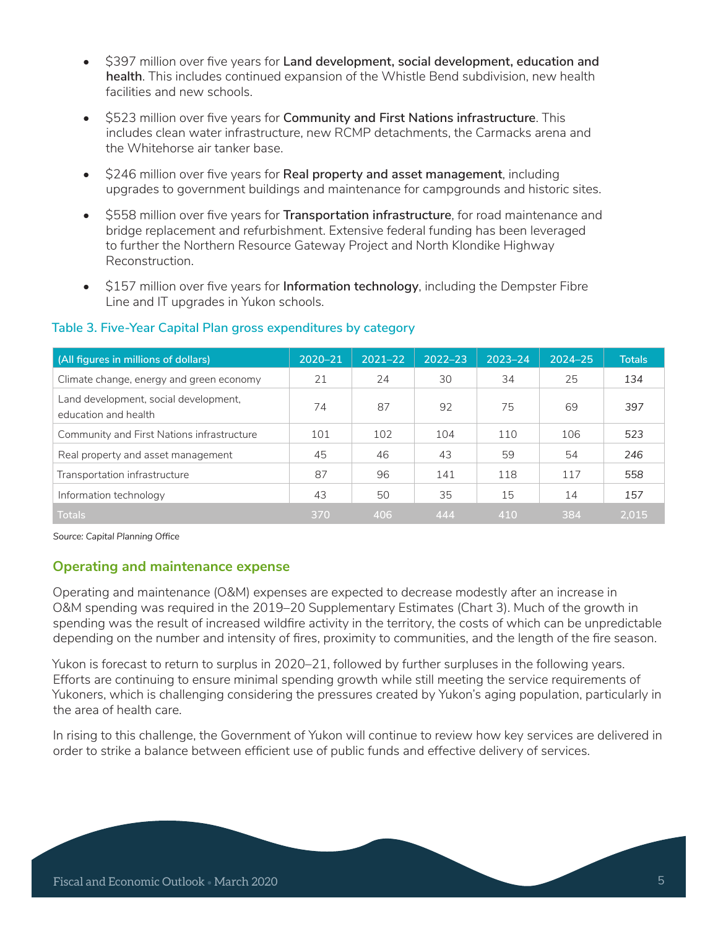- \$397 million over five years for **Land development, social development, education and health**. This includes continued expansion of the Whistle Bend subdivision, new health facilities and new schools.
- \$523 million over five years for **Community and First Nations infrastructure**. This includes clean water infrastructure, new RCMP detachments, the Carmacks arena and the Whitehorse air tanker base.
- \$246 million over five years for **Real property and asset management**, including upgrades to government buildings and maintenance for campgrounds and historic sites.
- \$558 million over five years for **Transportation infrastructure**, for road maintenance and bridge replacement and refurbishment. Extensive federal funding has been leveraged to further the Northern Resource Gateway Project and North Klondike Highway Reconstruction.
- \$157 million over five years for **Information technology**, including the Dempster Fibre Line and IT upgrades in Yukon schools.

| (All figures in millions of dollars)                          | 2020-21 | $2021 - 22$ | $2022 - 23$ | $2023 - 24$ | 2024-25 | <b>Totals</b> |
|---------------------------------------------------------------|---------|-------------|-------------|-------------|---------|---------------|
| Climate change, energy and green economy                      | 21      | 24          | 30          | 34          | 25      | 134           |
| Land development, social development,<br>education and health | 74      | 87          | 92          | 75          | 69      | 397           |
| Community and First Nations infrastructure                    | 101     | 102         | 104         | 110         | 106     | 523           |
| Real property and asset management                            | 45      | 46          | 43          | 59          | 54      | 246           |
| Transportation infrastructure                                 | 87      | 96          | 141         | 118         | 117     | 558           |
| Information technology                                        | 43      | 50          | 35          | 15          | 14      | 157           |
| <b>Totals</b>                                                 | 370     | 406         | 444         | 410         | 384     | 2.015         |

#### **Table 3. Five-Year Capital Plan gross expenditures by category**

*Source: Capital Planning Office*

### **Operating and maintenance expense**

Operating and maintenance (O&M) expenses are expected to decrease modestly after an increase in O&M spending was required in the 2019–20 Supplementary Estimates (Chart 3). Much of the growth in spending was the result of increased wildfire activity in the territory, the costs of which can be unpredictable depending on the number and intensity of fires, proximity to communities, and the length of the fire season.

Yukon is forecast to return to surplus in 2020–21, followed by further surpluses in the following years. Efforts are continuing to ensure minimal spending growth while still meeting the service requirements of Yukoners, which is challenging considering the pressures created by Yukon's aging population, particularly in the area of health care.

In rising to this challenge, the Government of Yukon will continue to review how key services are delivered in order to strike a balance between efficient use of public funds and effective delivery of services.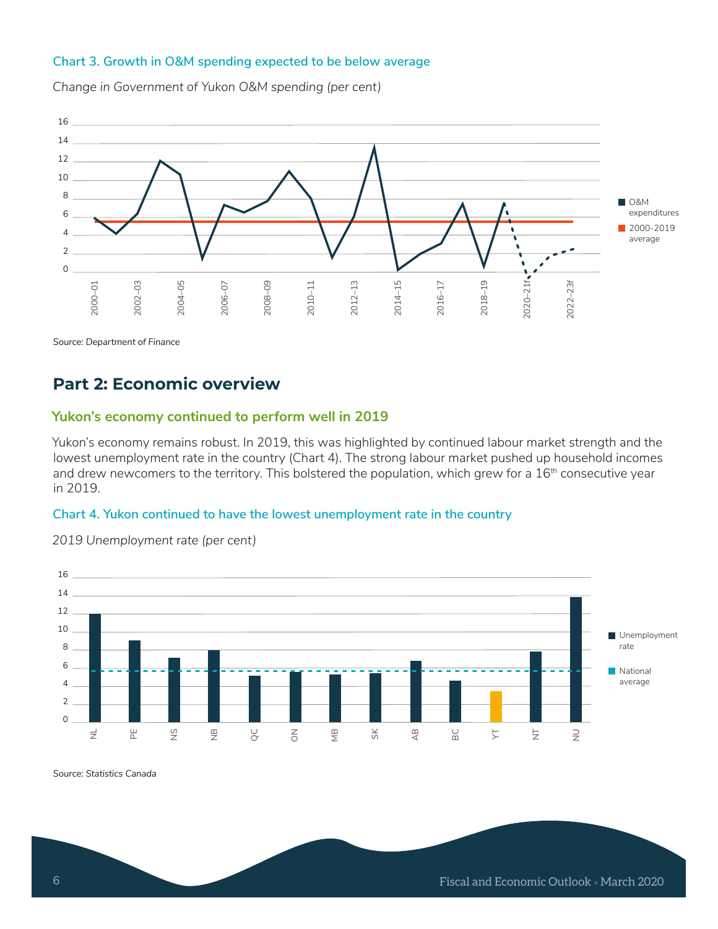#### **Chart 3. Growth in O&M spending expected to be below average**

16 14 12 10 8 **O&M** 6 expenditures ■ 2000-2019 4 average  $2 \bullet$ 0  $2020 - 21f$ 2008-09 2012–13 2000–01 2002–03 2004-05 2004–05 2006-07 2008–09 2010–11  $2014 - 15$ 2014–15 2016-17 2018-19 2018–19 2020–21f  $2022 - 23f$ 2022–23f 2006–07 2016–17

*Change in Government of Yukon O&M spending (per cent)*

*Source: Department of Finance*

# **Part 2: Economic overview**

#### **Yukon's economy continued to perform well in 2019**

Yukon's economy remains robust. In 2019, this was highlighted by continued labour market strength and the lowest unemployment rate in the country (Chart 4). The strong labour market pushed up household incomes and drew newcomers to the territory. This bolstered the population, which grew for a 16*th* consecutive year in 2019.

#### **Chart 4. Yukon continued to have the lowest unemployment rate in the country**



*2019 Unemployment rate (per cent)* 

*Source: Statistics Canada*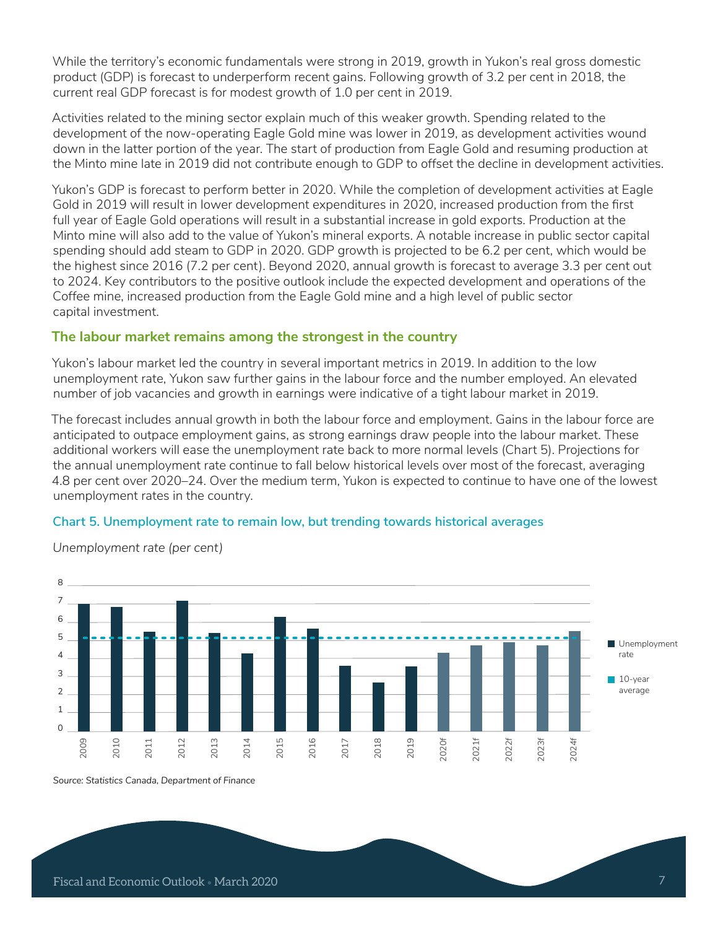While the territory's economic fundamentals were strong in 2019, growth in Yukon's real gross domestic product (GDP) is forecast to underperform recent gains. Following growth of 3.2 per cent in 2018, the current real GDP forecast is for modest growth of 1.0 per cent in 2019.

Activities related to the mining sector explain much of this weaker growth. Spending related to the development of the now-operating Eagle Gold mine was lower in 2019, as development activities wound down in the latter portion of the year. The start of production from Eagle Gold and resuming production at the Minto mine late in 2019 did not contribute enough to GDP to offset the decline in development activities.

Yukon's GDP is forecast to perform better in 2020. While the completion of development activities at Eagle Gold in 2019 will result in lower development expenditures in 2020, increased production from the first full year of Eagle Gold operations will result in a substantial increase in gold exports. Production at the Minto mine will also add to the value of Yukon's mineral exports. A notable increase in public sector capital spending should add steam to GDP in 2020. GDP growth is projected to be 6.2 per cent, which would be the highest since 2016 (7.2 per cent). Beyond 2020, annual growth is forecast to average 3.3 per cent out to 2024. Key contributors to the positive outlook include the expected development and operations of the Coffee mine, increased production from the Eagle Gold mine and a high level of public sector capital investment.

### **The labour market remains among the strongest in the country**

Yukon's labour market led the country in several important metrics in 2019. In addition to the low unemployment rate, Yukon saw further gains in the labour force and the number employed. An elevated number of job vacancies and growth in earnings were indicative of a tight labour market in 2019.

The forecast includes annual growth in both the labour force and employment. Gains in the labour force are anticipated to outpace employment gains, as strong earnings draw people into the labour market. These additional workers will ease the unemployment rate back to more normal levels (Chart 5). Projections for the annual unemployment rate continue to fall below historical levels over most of the forecast, averaging 4.8 per cent over 2020–24. Over the medium term, Yukon is expected to continue to have one of the lowest unemployment rates in the country.

#### **Chart 5. Unemployment rate to remain low, but trending towards historical averages**



*Unemployment rate (per cent)*

*Source: Statistics Canada, Department of Finance*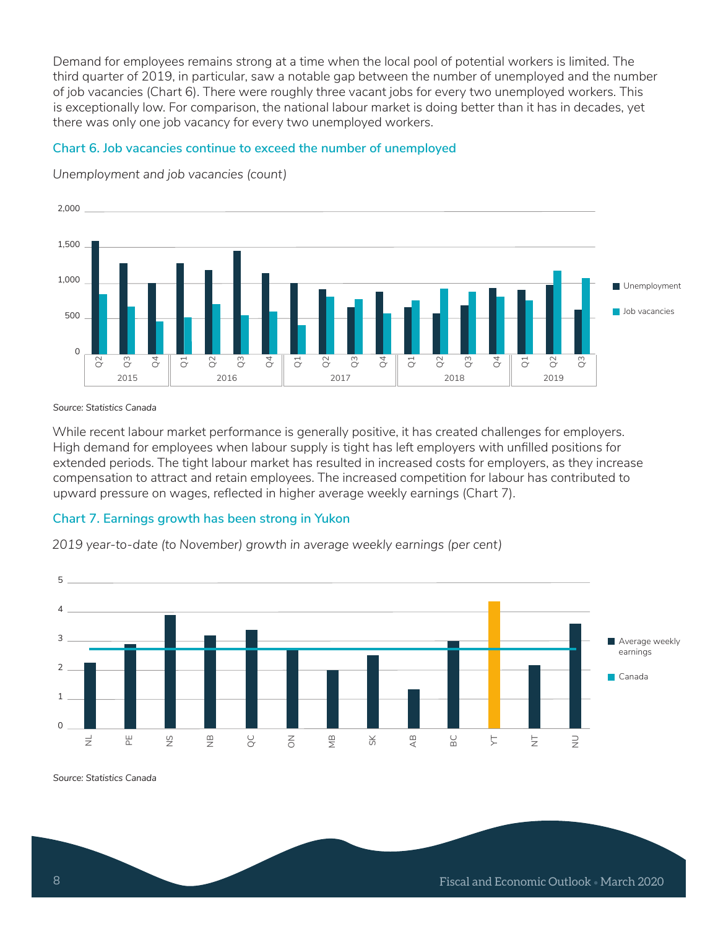Demand for employees remains strong at a time when the local pool of potential workers is limited. The third quarter of 2019, in particular, saw a notable gap between the number of unemployed and the number of job vacancies (Chart 6). There were roughly three vacant jobs for every two unemployed workers. This is exceptionally low. For comparison, the national labour market is doing better than it has in decades, yet there was only one job vacancy for every two unemployed workers.

#### **Chart 6. Job vacancies continue to exceed the number of unemployed**



*Unemployment and job vacancies (count)*

*Source: Statistics Canada*

While recent labour market performance is generally positive, it has created challenges for employers. High demand for employees when labour supply is tight has left employers with unfilled positions for extended periods. The tight labour market has resulted in increased costs for employers, as they increase compensation to attract and retain employees. The increased competition for labour has contributed to upward pressure on wages, reflected in higher average weekly earnings (Chart 7).

### **Chart 7. Earnings growth has been strong in Yukon**

*2019 year-to-date (to November) growth in average weekly earnings (per cent)*



*Source: Statistics Canada*

8 Fiscal and Economic Outlook • March 2020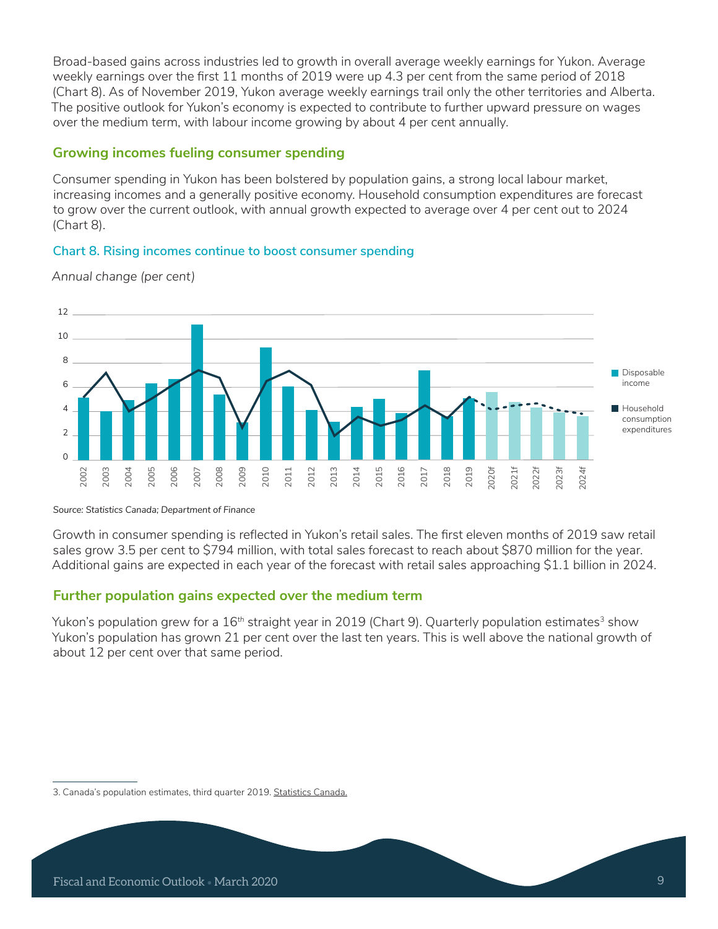Broad-based gains across industries led to growth in overall average weekly earnings for Yukon. Average weekly earnings over the first 11 months of 2019 were up 4.3 per cent from the same period of 2018 (Chart 8). As of November 2019, Yukon average weekly earnings trail only the other territories and Alberta. The positive outlook for Yukon's economy is expected to contribute to further upward pressure on wages over the medium term, with labour income growing by about 4 per cent annually.

# **Growing incomes fueling consumer spending**

Consumer spending in Yukon has been bolstered by population gains, a strong local labour market, increasing incomes and a generally positive economy. Household consumption expenditures are forecast to grow over the current outlook, with annual growth expected to average over 4 per cent out to 2024 (Chart 8).

### **Chart 8. Rising incomes continue to boost consumer spending**



*Annual change (per cent)*

*Source: Statistics Canada; Department of Finance*

Growth in consumer spending is reflected in Yukon's retail sales. The first eleven months of 2019 saw retail sales grow 3.5 per cent to \$794 million, with total sales forecast to reach about \$870 million for the year. Additional gains are expected in each year of the forecast with retail sales approaching \$1.1 billion in 2024.

# **Further population gains expected over the medium term**

Yukon's population grew for a 16<sup>th</sup> straight year in 2019 (Chart 9). Quarterly population estimates<sup>3</sup> show Yukon's population has grown 21 per cent over the last ten years. This is well above the national growth of about 12 per cent over that same period.

<sup>3.</sup> Canada's population estimates, third quarter 2019. Statistics Canada.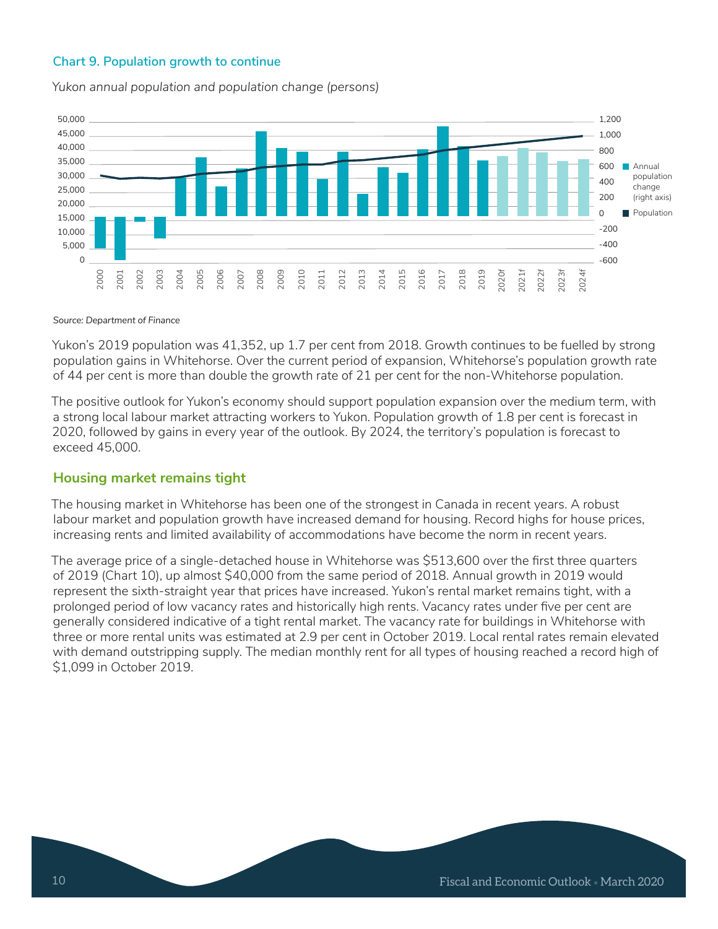### **Chart 9. Population growth to continue**

*Yukon annual population and population change (persons)*



#### *Source: Department of Finance*

Yukon's 2019 population was 41,352, up 1.7 per cent from 2018. Growth continues to be fuelled by strong population gains in Whitehorse. Over the current period of expansion, Whitehorse's population growth rate of 44 per cent is more than double the growth rate of 21 per cent for the non-Whitehorse population.

The positive outlook for Yukon's economy should support population expansion over the medium term, with a strong local labour market attracting workers to Yukon. Population growth of 1.8 per cent is forecast in 2020, followed by gains in every year of the outlook. By 2024, the territory's population is forecast to exceed 45,000.

### **Housing market remains tight**

The housing market in Whitehorse has been one of the strongest in Canada in recent years. A robust labour market and population growth have increased demand for housing. Record highs for house prices, increasing rents and limited availability of accommodations have become the norm in recent years.

The average price of a single-detached house in Whitehorse was \$513,600 over the first three quarters of 2019 (Chart 10), up almost \$40,000 from the same period of 2018. Annual growth in 2019 would represent the sixth-straight year that prices have increased. Yukon's rental market remains tight, with a prolonged period of low vacancy rates and historically high rents. Vacancy rates under five per cent are generally considered indicative of a tight rental market. The vacancy rate for buildings in Whitehorse with three or more rental units was estimated at 2.9 per cent in October 2019. Local rental rates remain elevated with demand outstripping supply. The median monthly rent for all types of housing reached a record high of \$1,099 in October 2019.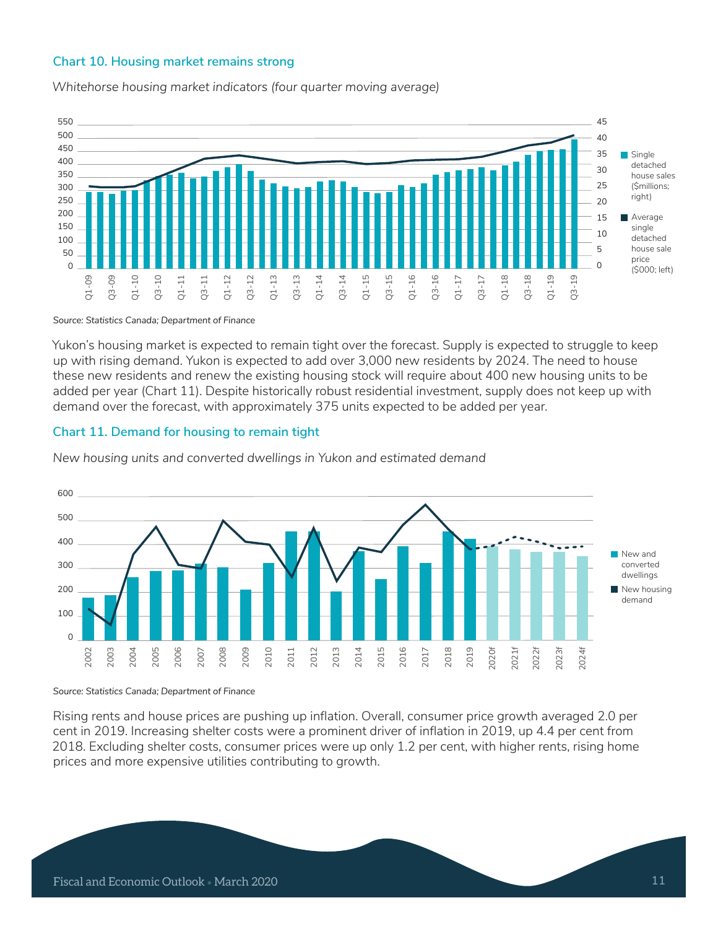#### **Chart 10. Housing market remains strong**

*Whitehorse housing market indicators (four quarter moving average)*



*Source: Statistics Canada; Department of Finance*

Yukon's housing market is expected to remain tight over the forecast. Supply is expected to struggle to keep up with rising demand. Yukon is expected to add over 3,000 new residents by 2024. The need to house these new residents and renew the existing housing stock will require about 400 new housing units to be added per year (Chart 11). Despite historically robust residential investment, supply does not keep up with demand over the forecast, with approximately 375 units expected to be added per year.

#### **Chart 11. Demand for housing to remain tight**



*New housing units and converted dwellings in Yukon and estimated demand*

*Source: Statistics Canada; Department of Finance*

Rising rents and house prices are pushing up inflation. Overall, consumer price growth averaged 2.0 per cent in 2019. Increasing shelter costs were a prominent driver of inflation in 2019, up 4.4 per cent from 2018. Excluding shelter costs, consumer prices were up only 1.2 per cent, with higher rents, rising home prices and more expensive utilities contributing to growth.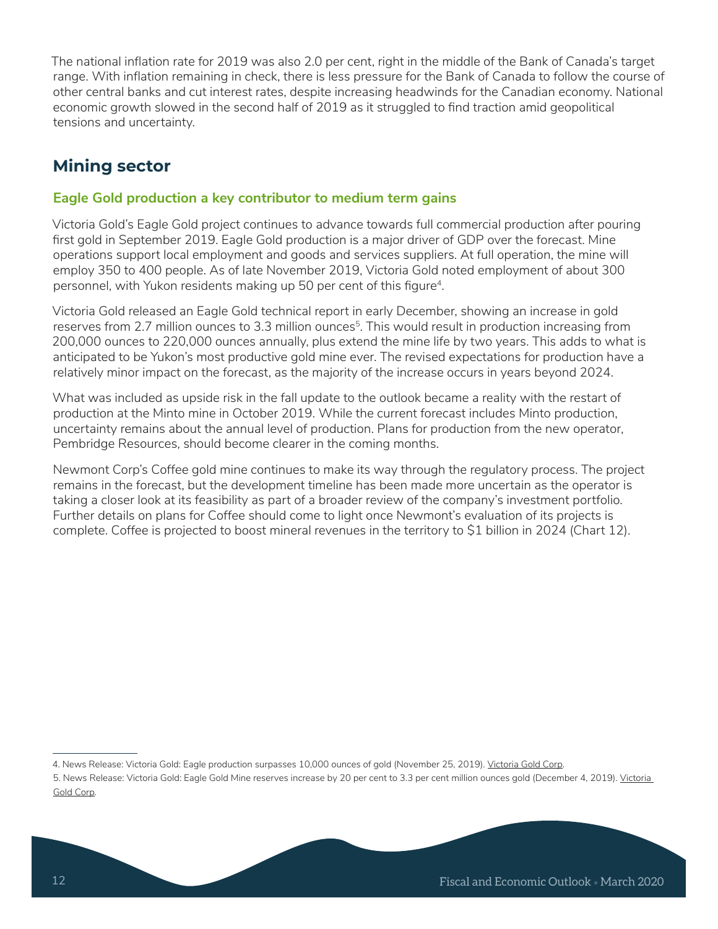The national inflation rate for 2019 was also 2.0 per cent, right in the middle of the Bank of Canada's target range. With inflation remaining in check, there is less pressure for the Bank of Canada to follow the course of other central banks and cut interest rates, despite increasing headwinds for the Canadian economy. National economic growth slowed in the second half of 2019 as it struggled to find traction amid geopolitical tensions and uncertainty.

# **Mining sector**

# **Eagle Gold production a key contributor to medium term gains**

Victoria Gold's Eagle Gold project continues to advance towards full commercial production after pouring first gold in September 2019. Eagle Gold production is a major driver of GDP over the forecast. Mine operations support local employment and goods and services suppliers. At full operation, the mine will employ 350 to 400 people. As of late November 2019, Victoria Gold noted employment of about 300 personnel, with Yukon residents making up 50 per cent of this figure<sup>4</sup>.

Victoria Gold released an Eagle Gold technical report in early December, showing an increase in gold reserves from 2.7 million ounces to 3.3 million ounces<sup>5</sup>. This would result in production increasing from 200,000 ounces to 220,000 ounces annually, plus extend the mine life by two years. This adds to what is anticipated to be Yukon's most productive gold mine ever. The revised expectations for production have a relatively minor impact on the forecast, as the majority of the increase occurs in years beyond 2024.

What was included as upside risk in the fall update to the outlook became a reality with the restart of production at the Minto mine in October 2019. While the current forecast includes Minto production, uncertainty remains about the annual level of production. Plans for production from the new operator, Pembridge Resources, should become clearer in the coming months.

Newmont Corp's Coffee gold mine continues to make its way through the regulatory process. The project remains in the forecast, but the development timeline has been made more uncertain as the operator is taking a closer look at its feasibility as part of a broader review of the company's investment portfolio. Further details on plans for Coffee should come to light once Newmont's evaluation of its projects is complete. Coffee is projected to boost mineral revenues in the territory to \$1 billion in 2024 (Chart 12).

<sup>4.</sup> News Release: Victoria Gold: Eagle production surpasses 10,000 ounces of gold (November 25, 2019). Victoria Gold Corp.

<sup>5.</sup> News Release: Victoria Gold: Eagle Gold Mine reserves increase by 20 per cent to 3.3 per cent million ounces gold (December 4, 2019). Victoria Gold Corp.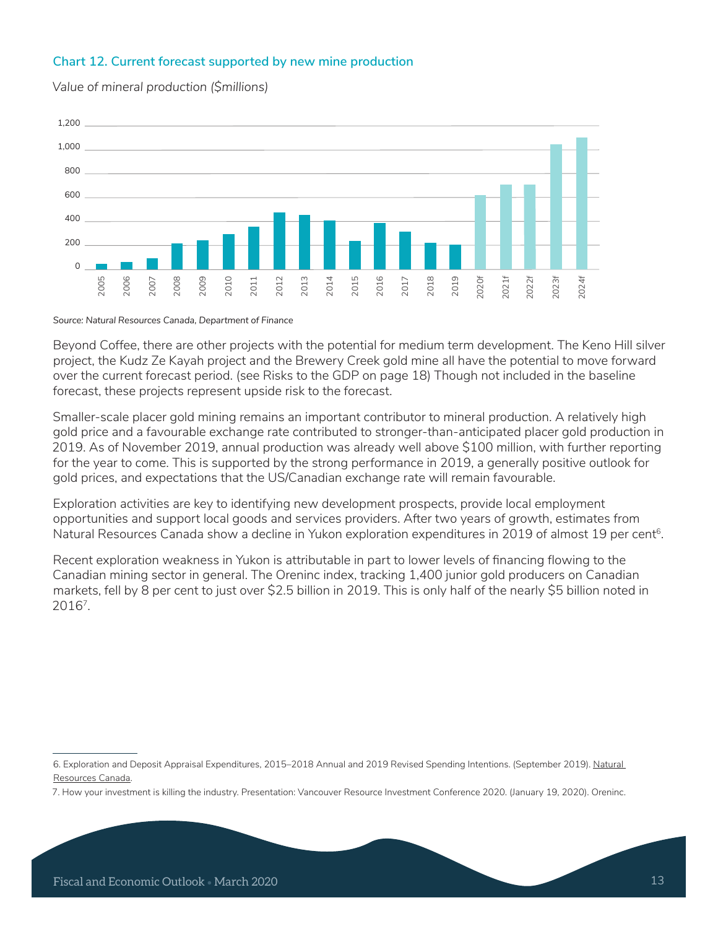### **Chart 12. Current forecast supported by new mine production**



*Value of mineral production (\$millions)*

*Source: Natural Resources Canada, Department of Finance*

Beyond Coffee, there are other projects with the potential for medium term development. The Keno Hill silver project, the Kudz Ze Kayah project and the Brewery Creek gold mine all have the potential to move forward over the current forecast period. (see Risks to the GDP on page 18) Though not included in the baseline forecast, these projects represent upside risk to the forecast.

Smaller-scale placer gold mining remains an important contributor to mineral production. A relatively high gold price and a favourable exchange rate contributed to stronger-than-anticipated placer gold production in 2019. As of November 2019, annual production was already well above \$100 million, with further reporting for the year to come. This is supported by the strong performance in 2019, a generally positive outlook for gold prices, and expectations that the US/Canadian exchange rate will remain favourable.

Exploration activities are key to identifying new development prospects, provide local employment opportunities and support local goods and services providers. After two years of growth, estimates from Natural Resources Canada show a decline in Yukon exploration expenditures in 2019 of almost 19 per cent<sup>6</sup>.

Recent exploration weakness in Yukon is attributable in part to lower levels of financing flowing to the Canadian mining sector in general. The Oreninc index, tracking 1,400 junior gold producers on Canadian markets, fell by 8 per cent to just over \$2.5 billion in 2019. This is only half of the nearly \$5 billion noted in 20167.

<sup>6.</sup> Exploration and Deposit Appraisal Expenditures, 2015–2018 Annual and 2019 Revised Spending Intentions. (September 2019). Natural Resources Canada.

<sup>7.</sup> How your investment is killing the industry. Presentation: Vancouver Resource Investment Conference 2020. (January 19, 2020). Oreninc.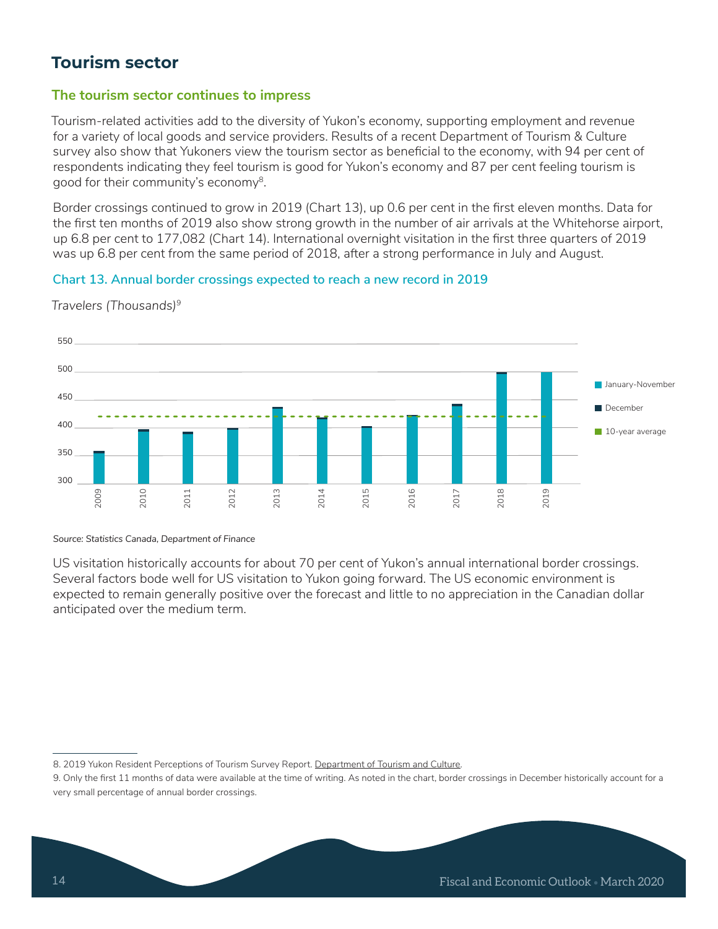# **Tourism sector**

# **The tourism sector continues to impress**

Tourism-related activities add to the diversity of Yukon's economy, supporting employment and revenue for a variety of local goods and service providers. Results of a recent Department of Tourism & Culture survey also show that Yukoners view the tourism sector as beneficial to the economy, with 94 per cent of respondents indicating they feel tourism is good for Yukon's economy and 87 per cent feeling tourism is good for their community's economy<sup>8</sup>.

Border crossings continued to grow in 2019 (Chart 13), up 0.6 per cent in the first eleven months. Data for the first ten months of 2019 also show strong growth in the number of air arrivals at the Whitehorse airport, up 6.8 per cent to 177,082 (Chart 14). International overnight visitation in the first three quarters of 2019 was up 6.8 per cent from the same period of 2018, after a strong performance in July and August.

#### **Chart 13. Annual border crossings expected to reach a new record in 2019**



*Travelers (Thousands)9*

*Source: Statistics Canada, Department of Finance*

US visitation historically accounts for about 70 per cent of Yukon's annual international border crossings. Several factors bode well for US visitation to Yukon going forward. The US economic environment is expected to remain generally positive over the forecast and little to no appreciation in the Canadian dollar anticipated over the medium term.

<sup>8. 2019</sup> Yukon Resident Perceptions of Tourism Survey Report. Department of Tourism and Culture.

<sup>9.</sup> Only the first 11 months of data were available at the time of writing. As noted in the chart, border crossings in December historically account for a very small percentage of annual border crossings.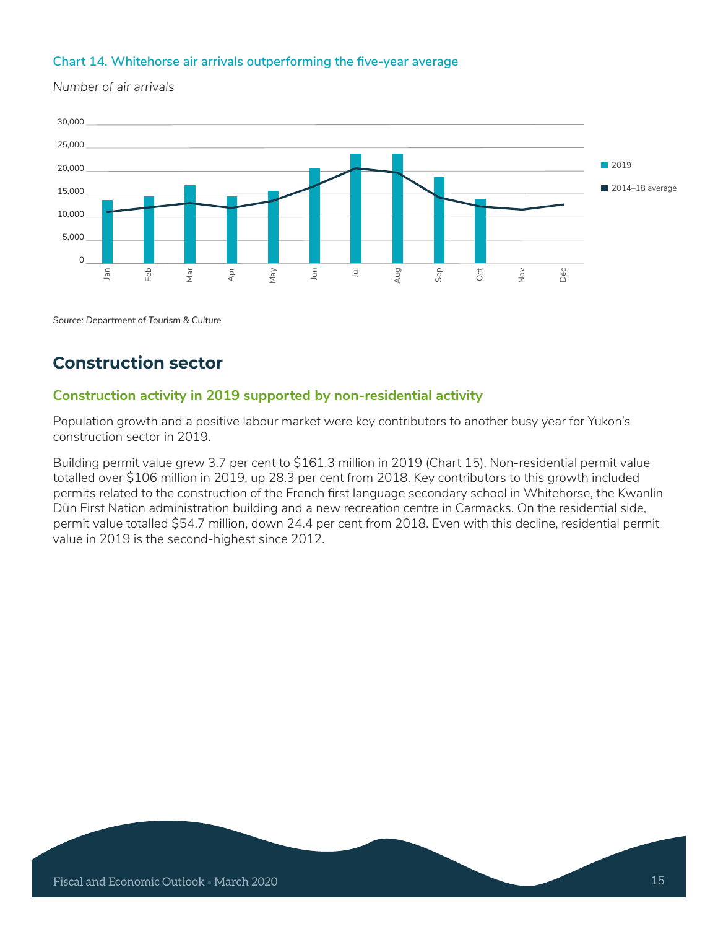### **Chart 14. Whitehorse air arrivals outperforming the five-year average**

30,000 25,000 20,000 15,000 10,000 5,000  $\mathbf{0}$ Jan Feb Mar Apr May Jun Jul Aug Sep Oct Nov Dec ■ 2019  $\Box$  2014–18 average

*Number of air arrivals*

*Source: Department of Tourism & Culture*

# **Construction sector**

# **Construction activity in 2019 supported by non-residential activity**

Population growth and a positive labour market were key contributors to another busy year for Yukon's construction sector in 2019.

Building permit value grew 3.7 per cent to \$161.3 million in 2019 (Chart 15). Non-residential permit value totalled over \$106 million in 2019, up 28.3 per cent from 2018. Key contributors to this growth included permits related to the construction of the French first language secondary school in Whitehorse, the Kwanlin Dün First Nation administration building and a new recreation centre in Carmacks. On the residential side, permit value totalled \$54.7 million, down 24.4 per cent from 2018. Even with this decline, residential permit value in 2019 is the second-highest since 2012.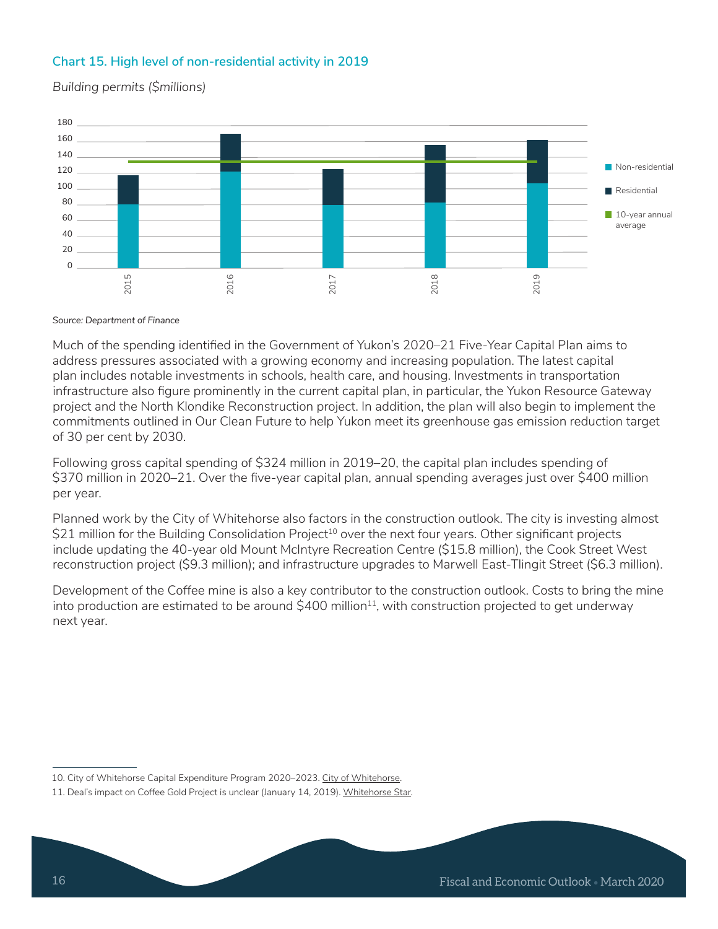# **Chart 15. High level of non-residential activity in 2019**

*Building permits (\$millions)*



*Source: Department of Finance*

Much of the spending identified in the Government of Yukon's 2020–21 Five-Year Capital Plan aims to address pressures associated with a growing economy and increasing population. The latest capital plan includes notable investments in schools, health care, and housing. Investments in transportation infrastructure also figure prominently in the current capital plan, in particular, the Yukon Resource Gateway project and the North Klondike Reconstruction project. In addition, the plan will also begin to implement the commitments outlined in Our Clean Future to help Yukon meet its greenhouse gas emission reduction target of 30 per cent by 2030.

Following gross capital spending of \$324 million in 2019–20, the capital plan includes spending of \$370 million in 2020–21. Over the five-year capital plan, annual spending averages just over \$400 million per year.

Planned work by the City of Whitehorse also factors in the construction outlook. The city is investing almost  $$21$  million for the Building Consolidation Project<sup>10</sup> over the next four years. Other significant projects include updating the 40-year old Mount McIntyre Recreation Centre (\$15.8 million), the Cook Street West reconstruction project (\$9.3 million); and infrastructure upgrades to Marwell East-Tlingit Street (\$6.3 million).

Development of the Coffee mine is also a key contributor to the construction outlook. Costs to bring the mine into production are estimated to be around  $$400$  million<sup>11</sup>, with construction projected to get underway next year.

<sup>10.</sup> City of Whitehorse Capital Expenditure Program 2020–2023. City of Whitehorse.

<sup>11.</sup> Deal's impact on Coffee Gold Project is unclear (January 14, 2019). Whitehorse Star.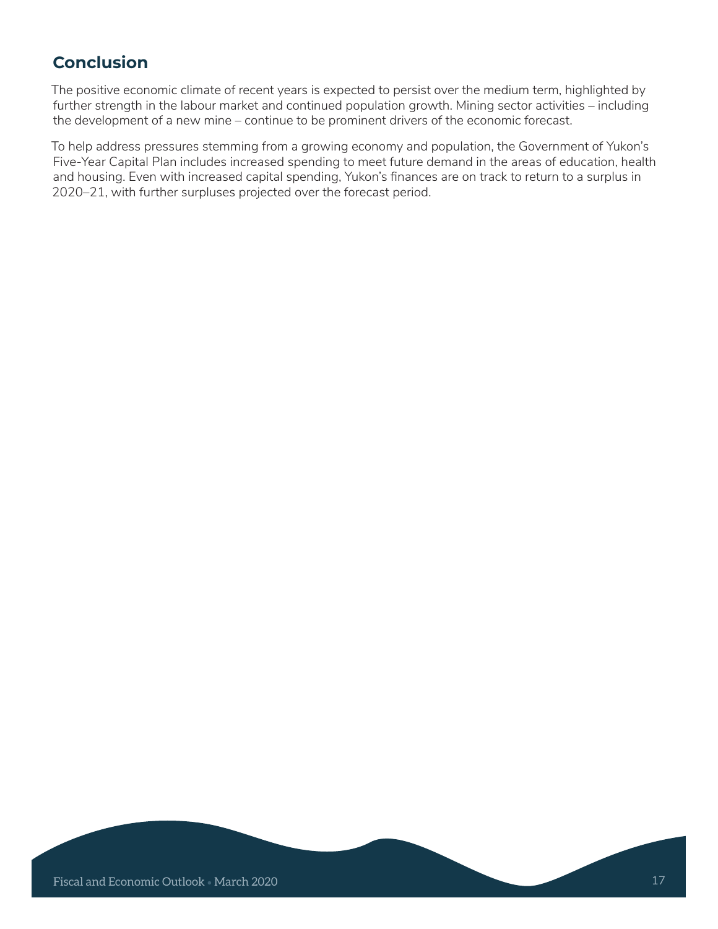# **Conclusion**

The positive economic climate of recent years is expected to persist over the medium term, highlighted by further strength in the labour market and continued population growth. Mining sector activities – including the development of a new mine – continue to be prominent drivers of the economic forecast.

To help address pressures stemming from a growing economy and population, the Government of Yukon's Five-Year Capital Plan includes increased spending to meet future demand in the areas of education, health and housing. Even with increased capital spending, Yukon's finances are on track to return to a surplus in 2020–21, with further surpluses projected over the forecast period.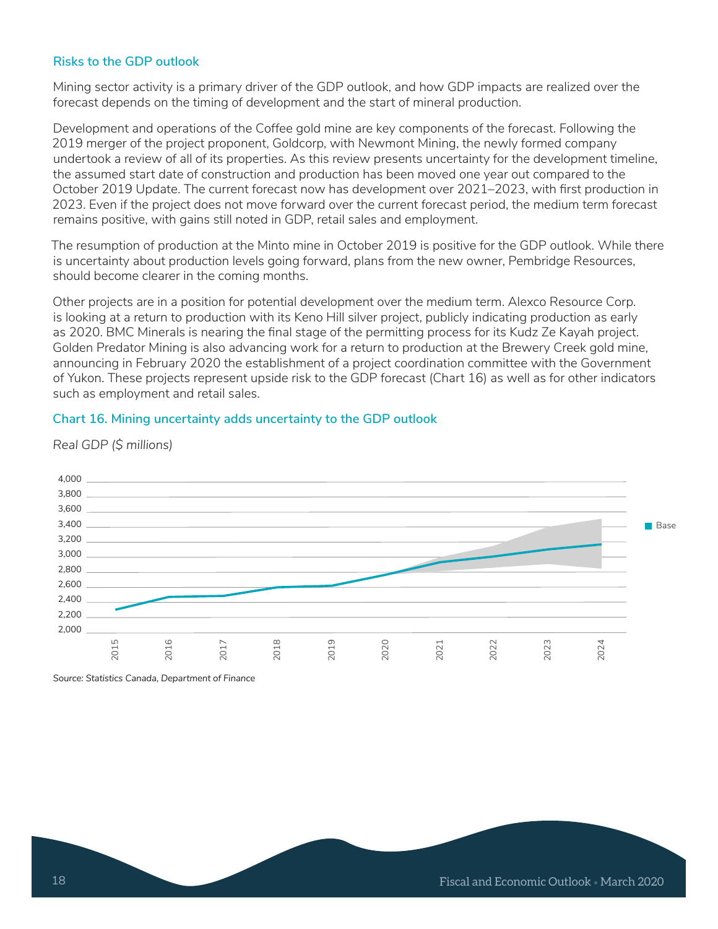#### **Risks to the GDP outlook**

Mining sector activity is a primary driver of the GDP outlook, and how GDP impacts are realized over the forecast depends on the timing of development and the start of mineral production.

Development and operations of the Coffee gold mine are key components of the forecast. Following the 2019 merger of the project proponent, Goldcorp, with Newmont Mining, the newly formed company undertook a review of all of its properties. As this review presents uncertainty for the development timeline, the assumed start date of construction and production has been moved one year out compared to the October 2019 Update. The current forecast now has development over 2021–2023, with first production in 2023. Even if the project does not move forward over the current forecast period, the medium term forecast remains positive, with gains still noted in GDP, retail sales and employment.

The resumption of production at the Minto mine in October 2019 is positive for the GDP outlook. While there is uncertainty about production levels going forward, plans from the new owner, Pembridge Resources, should become clearer in the coming months.

Other projects are in a position for potential development over the medium term. Alexco Resource Corp. is looking at a return to production with its Keno Hill silver project, publicly indicating production as early as 2020. BMC Minerals is nearing the final stage of the permitting process for its Kudz Ze Kayah project. Golden Predator Mining is also advancing work for a return to production at the Brewery Creek gold mine, announcing in February 2020 the establishment of a project coordination committee with the Government of Yukon. These projects represent upside risk to the GDP forecast (Chart 16) as well as for other indicators such as employment and retail sales.

#### **Chart 16. Mining uncertainty adds uncertainty to the GDP outlook**



*Real GDP (\$ millions)*

*Source: Statistics Canada, Department of Finance*